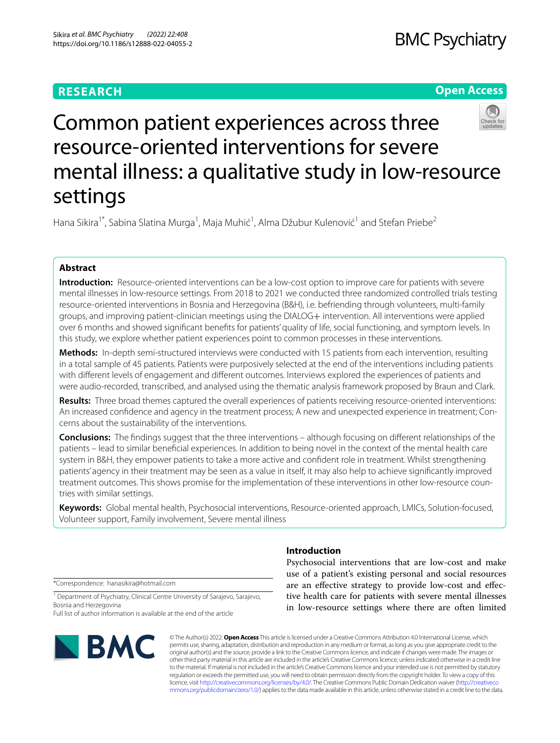# **RESEARCH**

# **Open Access**



# Common patient experiences across three resource-oriented interventions for severe mental illness: a qualitative study in low-resource settings

Hana Sikira<sup>1\*</sup>, Sabina Slatina Murga<sup>1</sup>, Maja Muhić<sup>1</sup>, Alma Džubur Kulenović<sup>1</sup> and Stefan Priebe<sup>2</sup>

# **Abstract**

**Introduction:** Resource-oriented interventions can be a low-cost option to improve care for patients with severe mental illnesses in low-resource settings. From 2018 to 2021 we conducted three randomized controlled trials testing resource-oriented interventions in Bosnia and Herzegovina (B&H), i.e. befriending through volunteers, multi-family groups, and improving patient-clinician meetings using the DIALOG+ intervention. All interventions were applied over 6 months and showed signifcant benefts for patients' quality of life, social functioning, and symptom levels. In this study, we explore whether patient experiences point to common processes in these interventions.

**Methods:** In-depth semi-structured interviews were conducted with 15 patients from each intervention, resulting in a total sample of 45 patients. Patients were purposively selected at the end of the interventions including patients with diferent levels of engagement and diferent outcomes. Interviews explored the experiences of patients and were audio-recorded, transcribed, and analysed using the thematic analysis framework proposed by Braun and Clark.

**Results:** Three broad themes captured the overall experiences of patients receiving resource-oriented interventions: An increased confdence and agency in the treatment process; A new and unexpected experience in treatment; Concerns about the sustainability of the interventions.

**Conclusions:** The fndings suggest that the three interventions – although focusing on diferent relationships of the patients – lead to similar benefcial experiences. In addition to being novel in the context of the mental health care system in B&H, they empower patients to take a more active and confdent role in treatment. Whilst strengthening patients' agency in their treatment may be seen as a value in itself, it may also help to achieve signifcantly improved treatment outcomes. This shows promise for the implementation of these interventions in other low-resource countries with similar settings.

**Keywords:** Global mental health, Psychosocial interventions, Resource-oriented approach, LMICs, Solution-focused, Volunteer support, Family involvement, Severe mental illness

\*Correspondence: hanasikira@hotmail.com

<sup>1</sup> Department of Psychiatry, Clinical Centre University of Sarajevo, Sarajevo, Bosnia and Herzegovina

Full list of author information is available at the end of the article



# **Introduction**

Psychosocial interventions that are low-cost and make use of a patient's existing personal and social resources are an efective strategy to provide low-cost and efective health care for patients with severe mental illnesses in low-resource settings where there are often limited

© The Author(s) 2022. **Open Access** This article is licensed under a Creative Commons Attribution 4.0 International License, which permits use, sharing, adaptation, distribution and reproduction in any medium or format, as long as you give appropriate credit to the original author(s) and the source, provide a link to the Creative Commons licence, and indicate if changes were made. The images or other third party material in this article are included in the article's Creative Commons licence, unless indicated otherwise in a credit line to the material. If material is not included in the article's Creative Commons licence and your intended use is not permitted by statutory regulation or exceeds the permitted use, you will need to obtain permission directly from the copyright holder. To view a copy of this licence, visit [http://creativecommons.org/licenses/by/4.0/.](http://creativecommons.org/licenses/by/4.0/) The Creative Commons Public Domain Dedication waiver ([http://creativeco](http://creativecommons.org/publicdomain/zero/1.0/) [mmons.org/publicdomain/zero/1.0/](http://creativecommons.org/publicdomain/zero/1.0/)) applies to the data made available in this article, unless otherwise stated in a credit line to the data.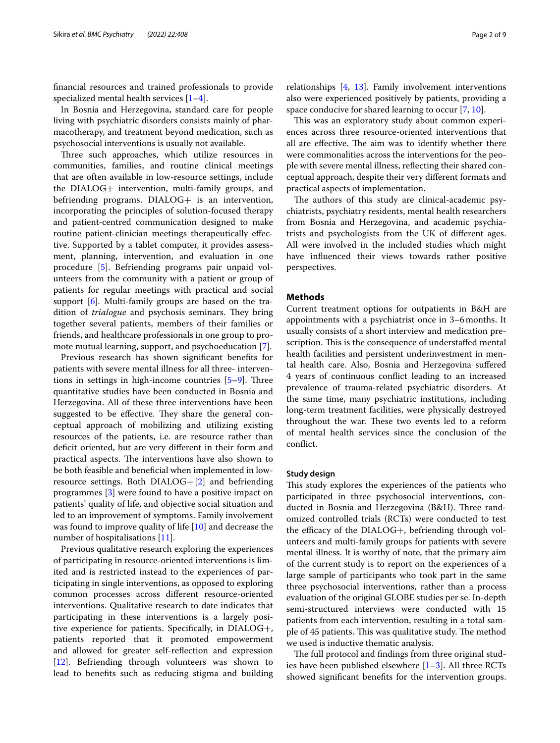fnancial resources and trained professionals to provide specialized mental health services  $[1-4]$  $[1-4]$ .

In Bosnia and Herzegovina, standard care for people living with psychiatric disorders consists mainly of pharmacotherapy, and treatment beyond medication, such as psychosocial interventions is usually not available.

Three such approaches, which utilize resources in communities, families, and routine clinical meetings that are often available in low-resource settings, include the DIALOG+ intervention, multi-family groups, and befriending programs. DIALOG+ is an intervention, incorporating the principles of solution-focused therapy and patient-centred communication designed to make routine patient-clinician meetings therapeutically efective. Supported by a tablet computer, it provides assessment, planning, intervention, and evaluation in one procedure [[5\]](#page-8-2). Befriending programs pair unpaid volunteers from the community with a patient or group of patients for regular meetings with practical and social support [\[6](#page-8-3)]. Multi-family groups are based on the tradition of *trialogue* and psychosis seminars. They bring together several patients, members of their families or friends, and healthcare professionals in one group to promote mutual learning, support, and psychoeducation [[7\]](#page-8-4).

Previous research has shown signifcant benefts for patients with severe mental illness for all three- interventions in settings in high-income countries  $[5-9]$  $[5-9]$ . Three quantitative studies have been conducted in Bosnia and Herzegovina. All of these three interventions have been suggested to be effective. They share the general conceptual approach of mobilizing and utilizing existing resources of the patients, i.e. are resource rather than deficit oriented, but are very different in their form and practical aspects. The interventions have also shown to be both feasible and benefcial when implemented in lowresource settings. Both  $DIALOG + [2]$  $DIALOG + [2]$  $DIALOG + [2]$  and befriending programmes [[3\]](#page-8-7) were found to have a positive impact on patients' quality of life, and objective social situation and led to an improvement of symptoms. Family involvement was found to improve quality of life [[10\]](#page-8-8) and decrease the number of hospitalisations [\[11\]](#page-8-9).

Previous qualitative research exploring the experiences of participating in resource-oriented interventions is limited and is restricted instead to the experiences of participating in single interventions, as opposed to exploring common processes across diferent resource-oriented interventions. Qualitative research to date indicates that participating in these interventions is a largely positive experience for patients. Specifcally, in DIALOG+, patients reported that it promoted empowerment and allowed for greater self-refection and expression [[12\]](#page-8-10). Befriending through volunteers was shown to lead to benefts such as reducing stigma and building relationships [\[4,](#page-8-1) [13\]](#page-8-11). Family involvement interventions also were experienced positively by patients, providing a space conducive for shared learning to occur [\[7](#page-8-4), [10\]](#page-8-8).

This was an exploratory study about common experiences across three resource-oriented interventions that all are effective. The aim was to identify whether there were commonalities across the interventions for the people with severe mental illness, refecting their shared conceptual approach, despite their very diferent formats and practical aspects of implementation.

The authors of this study are clinical-academic psychiatrists, psychiatry residents, mental health researchers from Bosnia and Herzegovina, and academic psychiatrists and psychologists from the UK of diferent ages. All were involved in the included studies which might have infuenced their views towards rather positive perspectives.

# **Methods**

Current treatment options for outpatients in B&H are appointments with a psychiatrist once in 3–6months. It usually consists of a short interview and medication prescription. This is the consequence of understaffed mental health facilities and persistent underinvestment in mental health care. Also, Bosnia and Herzegovina sufered 4 years of continuous confict leading to an increased prevalence of trauma-related psychiatric disorders. At the same time, many psychiatric institutions, including long-term treatment facilities, were physically destroyed throughout the war. These two events led to a reform of mental health services since the conclusion of the confict.

#### **Study design**

This study explores the experiences of the patients who participated in three psychosocial interventions, conducted in Bosnia and Herzegovina (B&H). Three randomized controlled trials (RCTs) were conducted to test the efficacy of the  $DIALOG+$ , befriending through volunteers and multi-family groups for patients with severe mental illness. It is worthy of note, that the primary aim of the current study is to report on the experiences of a large sample of participants who took part in the same three psychosocial interventions, rather than a process evaluation of the original GLOBE studies per se. In-depth semi-structured interviews were conducted with 15 patients from each intervention, resulting in a total sample of 45 patients. This was qualitative study. The method we used is inductive thematic analysis.

The full protocol and findings from three original studies have been published elsewhere  $[1-3]$  $[1-3]$  $[1-3]$ . All three RCTs showed signifcant benefts for the intervention groups.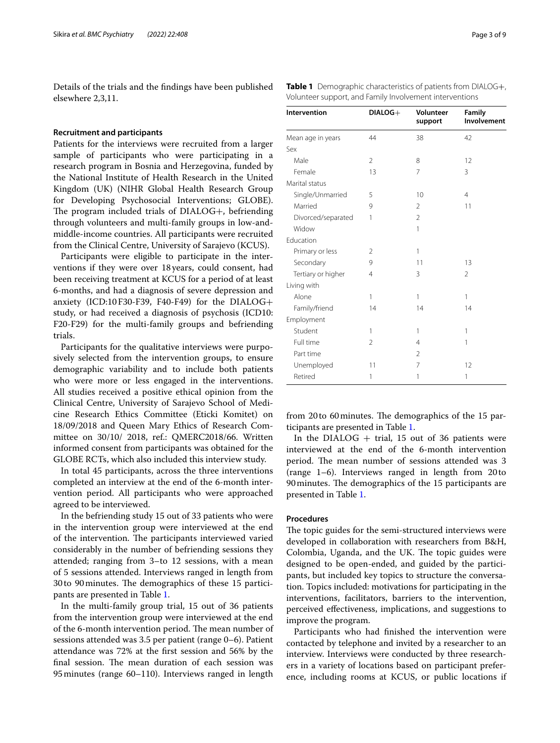Details of the trials and the fndings have been published elsewhere 2,3,11.

## **Recruitment and participants**

Patients for the interviews were recruited from a larger sample of participants who were participating in a research program in Bosnia and Herzegovina, funded by the National Institute of Health Research in the United Kingdom (UK) (NIHR Global Health Research Group for Developing Psychosocial Interventions; GLOBE). The program included trials of  $DIALOG+$ , befriending through volunteers and multi-family groups in low-andmiddle-income countries. All participants were recruited from the Clinical Centre, University of Sarajevo (KCUS).

Participants were eligible to participate in the interventions if they were over 18 years, could consent, had been receiving treatment at KCUS for a period of at least 6-months, and had a diagnosis of severe depression and anxiety (ICD:10F30-F39, F40-F49) for the DIALOG+ study, or had received a diagnosis of psychosis (ICD10: F20-F29) for the multi-family groups and befriending trials.

Participants for the qualitative interviews were purposively selected from the intervention groups, to ensure demographic variability and to include both patients who were more or less engaged in the interventions. All studies received a positive ethical opinion from the Clinical Centre, University of Sarajevo School of Medicine Research Ethics Committee (Eticki Komitet) on 18/09/2018 and Queen Mary Ethics of Research Committee on 30/10/ 2018, ref.: QMERC2018/66. Written informed consent from participants was obtained for the GLOBE RCTs, which also included this interview study.

In total 45 participants, across the three interventions completed an interview at the end of the 6-month intervention period. All participants who were approached agreed to be interviewed.

In the befriending study 15 out of 33 patients who were in the intervention group were interviewed at the end of the intervention. The participants interviewed varied considerably in the number of befriending sessions they attended; ranging from 3–to 12 sessions, with a mean of 5 sessions attended. Interviews ranged in length from 30 to 90 minutes. The demographics of these 15 participants are presented in Table [1.](#page-2-0)

In the multi-family group trial, 15 out of 36 patients from the intervention group were interviewed at the end of the 6-month intervention period. The mean number of sessions attended was 3.5 per patient (range 0–6). Patient attendance was 72% at the frst session and 56% by the final session. The mean duration of each session was 95minutes (range 60–110). Interviews ranged in length

<span id="page-2-0"></span>

| <b>Table 1</b> Demographic characteristics of patients from DIALOG+, |
|----------------------------------------------------------------------|
| Volunteer support, and Family Involvement interventions              |

| Intervention       | DIALOG+        | Volunteer<br>support | Family<br>Involvement |
|--------------------|----------------|----------------------|-----------------------|
| Mean age in years  | 44             | 38                   | 42                    |
| Sex                |                |                      |                       |
| Male               | $\overline{2}$ | 8                    | 12                    |
| Female             | 13             | $\overline{7}$       | 3                     |
| Marital status     |                |                      |                       |
| Single/Unmarried   | 5              | 10                   | $\overline{4}$        |
| Married            | 9              | 2                    | 11                    |
| Divorced/separated | 1              | $\overline{2}$       |                       |
| Widow              |                | 1                    |                       |
| Education          |                |                      |                       |
| Primary or less    | 2              | 1                    |                       |
| Secondary          | 9              | 11                   | 13                    |
| Tertiary or higher | $\overline{4}$ | 3                    | $\overline{2}$        |
| Living with        |                |                      |                       |
| Alone              | 1              | 1                    | 1                     |
| Family/friend      | 14             | 14                   | 14                    |
| Employment         |                |                      |                       |
| Student            | 1              | 1                    | 1                     |
| Full time          | $\overline{2}$ | $\overline{4}$       | 1                     |
| Part time          |                | $\overline{2}$       |                       |
| Unemployed         | 11             | $\overline{7}$       | 12                    |
| Retired            | 1              | 1                    | 1                     |

from 20 to 60 minutes. The demographics of the 15 participants are presented in Table [1.](#page-2-0)

In the DIALOG  $+$  trial, 15 out of 36 patients were interviewed at the end of the 6-month intervention period. The mean number of sessions attended was 3 (range 1–6). Interviews ranged in length from 20to 90 minutes. The demographics of the 15 participants are presented in Table [1](#page-2-0).

# **Procedures**

The topic guides for the semi-structured interviews were developed in collaboration with researchers from B&H, Colombia, Uganda, and the UK. The topic guides were designed to be open-ended, and guided by the participants, but included key topics to structure the conversation. Topics included: motivations for participating in the interventions, facilitators, barriers to the intervention, perceived efectiveness, implications, and suggestions to improve the program.

Participants who had fnished the intervention were contacted by telephone and invited by a researcher to an interview. Interviews were conducted by three researchers in a variety of locations based on participant preference, including rooms at KCUS, or public locations if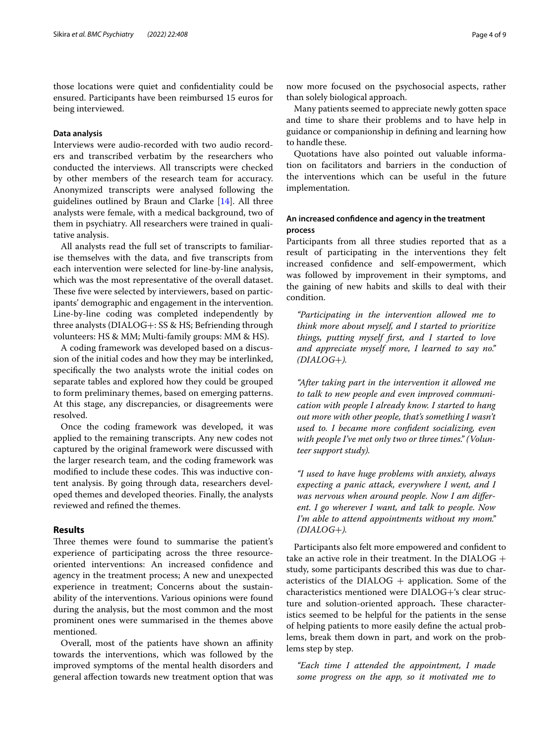those locations were quiet and confdentiality could be ensured. Participants have been reimbursed 15 euros for being interviewed.

# **Data analysis**

Interviews were audio-recorded with two audio recorders and transcribed verbatim by the researchers who conducted the interviews. All transcripts were checked by other members of the research team for accuracy. Anonymized transcripts were analysed following the guidelines outlined by Braun and Clarke [\[14](#page-8-12)]. All three analysts were female, with a medical background, two of them in psychiatry. All researchers were trained in qualitative analysis.

All analysts read the full set of transcripts to familiarise themselves with the data, and fve transcripts from each intervention were selected for line-by-line analysis, which was the most representative of the overall dataset. These five were selected by interviewers, based on participants' demographic and engagement in the intervention. Line-by-line coding was completed independently by three analysts (DIALOG+: SS & HS; Befriending through volunteers: HS & MM; Multi-family groups: MM & HS).

A coding framework was developed based on a discussion of the initial codes and how they may be interlinked, specifcally the two analysts wrote the initial codes on separate tables and explored how they could be grouped to form preliminary themes, based on emerging patterns. At this stage, any discrepancies, or disagreements were resolved.

Once the coding framework was developed, it was applied to the remaining transcripts. Any new codes not captured by the original framework were discussed with the larger research team, and the coding framework was modified to include these codes. This was inductive content analysis. By going through data, researchers developed themes and developed theories. Finally, the analysts reviewed and refned the themes.

# **Results**

Three themes were found to summarise the patient's experience of participating across the three resourceoriented interventions: An increased confdence and agency in the treatment process; A new and unexpected experience in treatment; Concerns about the sustainability of the interventions. Various opinions were found during the analysis, but the most common and the most prominent ones were summarised in the themes above mentioned.

Overall, most of the patients have shown an affinity towards the interventions, which was followed by the improved symptoms of the mental health disorders and general afection towards new treatment option that was

now more focused on the psychosocial aspects, rather than solely biological approach.

Many patients seemed to appreciate newly gotten space and time to share their problems and to have help in guidance or companionship in defning and learning how to handle these.

Quotations have also pointed out valuable information on facilitators and barriers in the conduction of the interventions which can be useful in the future implementation.

# **An increased confdence and agency in the treatment process**

Participants from all three studies reported that as a result of participating in the interventions they felt increased confdence and self-empowerment, which was followed by improvement in their symptoms, and the gaining of new habits and skills to deal with their condition.

*"Participating in the intervention allowed me to think more about myself, and I started to prioritize things, putting myself frst, and I started to love and appreciate myself more, I learned to say no." (DIALOG*+*).*

*"After taking part in the intervention it allowed me to talk to new people and even improved communication with people I already know. I started to hang out more with other people, that's something I wasn't used to. I became more confdent socializing, even with people I've met only two or three times." (Volunteer support study).*

*"I used to have huge problems with anxiety, always expecting a panic attack, everywhere I went, and I was nervous when around people. Now I am diferent. I go wherever I want, and talk to people. Now I'm able to attend appointments without my mom." (DIALOG*+*).*

Participants also felt more empowered and confdent to take an active role in their treatment. In the  $DIALOG +$ study, some participants described this was due to characteristics of the DIALOG  $+$  application. Some of the characteristics mentioned were DIALOG+'s clear structure and solution-oriented approach. These characteristics seemed to be helpful for the patients in the sense of helping patients to more easily defne the actual problems, break them down in part, and work on the problems step by step.

*"Each time I attended the appointment, I made some progress on the app, so it motivated me to*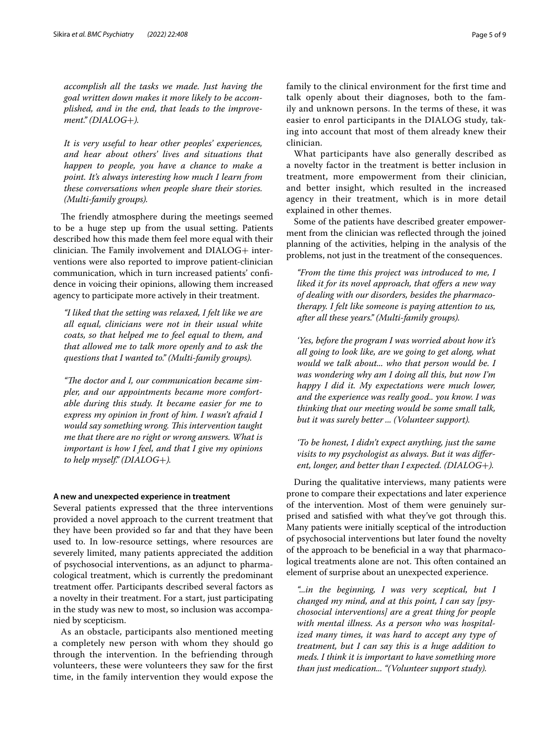*accomplish all the tasks we made. Just having the goal written down makes it more likely to be accomplished, and in the end, that leads to the improvement." (DIALOG*+*).*

*It is very useful to hear other peoples' experiences, and hear about others' lives and situations that happen to people, you have a chance to make a point. It's always interesting how much I learn from these conversations when people share their stories. (Multi-family groups).*

The friendly atmosphere during the meetings seemed to be a huge step up from the usual setting. Patients described how this made them feel more equal with their  $clinician$ . The Family involvement and  $DIALOG+$  interventions were also reported to improve patient-clinician communication, which in turn increased patients' confdence in voicing their opinions, allowing them increased agency to participate more actively in their treatment.

*"I liked that the setting was relaxed, I felt like we are all equal, clinicians were not in their usual white coats, so that helped me to feel equal to them, and that allowed me to talk more openly and to ask the questions that I wanted to." (Multi-family groups).*

"The doctor and I, our communication became sim*pler, and our appointments became more comfortable during this study. It became easier for me to express my opinion in front of him. I wasn't afraid I would say something wrong. Tis intervention taught me that there are no right or wrong answers. What is important is how I feel, and that I give my opinions to help myself." (DIALOG*+*).*

## **A new and unexpected experience in treatment**

Several patients expressed that the three interventions provided a novel approach to the current treatment that they have been provided so far and that they have been used to. In low-resource settings, where resources are severely limited, many patients appreciated the addition of psychosocial interventions, as an adjunct to pharmacological treatment, which is currently the predominant treatment ofer. Participants described several factors as a novelty in their treatment. For a start, just participating in the study was new to most, so inclusion was accompanied by scepticism.

As an obstacle, participants also mentioned meeting a completely new person with whom they should go through the intervention. In the befriending through volunteers, these were volunteers they saw for the frst time, in the family intervention they would expose the family to the clinical environment for the frst time and talk openly about their diagnoses, both to the family and unknown persons. In the terms of these, it was easier to enrol participants in the DIALOG study, taking into account that most of them already knew their clinician.

What participants have also generally described as a novelty factor in the treatment is better inclusion in treatment, more empowerment from their clinician, and better insight, which resulted in the increased agency in their treatment, which is in more detail explained in other themes.

Some of the patients have described greater empowerment from the clinician was refected through the joined planning of the activities, helping in the analysis of the problems, not just in the treatment of the consequences.

*"From the time this project was introduced to me, I liked it for its novel approach, that ofers a new way of dealing with our disorders, besides the pharmacotherapy. I felt like someone is paying attention to us, after all these years." (Multi-family groups).*

*'Yes, before the program I was worried about how it's all going to look like, are we going to get along, what would we talk about... who that person would be. I was wondering why am I doing all this, but now I'm happy I did it. My expectations were much lower, and the experience was really good.. you know. I was thinking that our meeting would be some small talk, but it was surely better ... (Volunteer support).*

*'To be honest, I didn't expect anything, just the same visits to my psychologist as always. But it was diferent, longer, and better than I expected. (DIALOG*+*).*

During the qualitative interviews, many patients were prone to compare their expectations and later experience of the intervention. Most of them were genuinely surprised and satisfed with what they've got through this. Many patients were initially sceptical of the introduction of psychosocial interventions but later found the novelty of the approach to be benefcial in a way that pharmacological treatments alone are not. This often contained an element of surprise about an unexpected experience.

*"...in the beginning, I was very sceptical, but I changed my mind, and at this point, I can say [psychosocial interventions] are a great thing for people with mental illness. As a person who was hospitalized many times, it was hard to accept any type of treatment, but I can say this is a huge addition to meds. I think it is important to have something more than just medication... "(Volunteer support study).*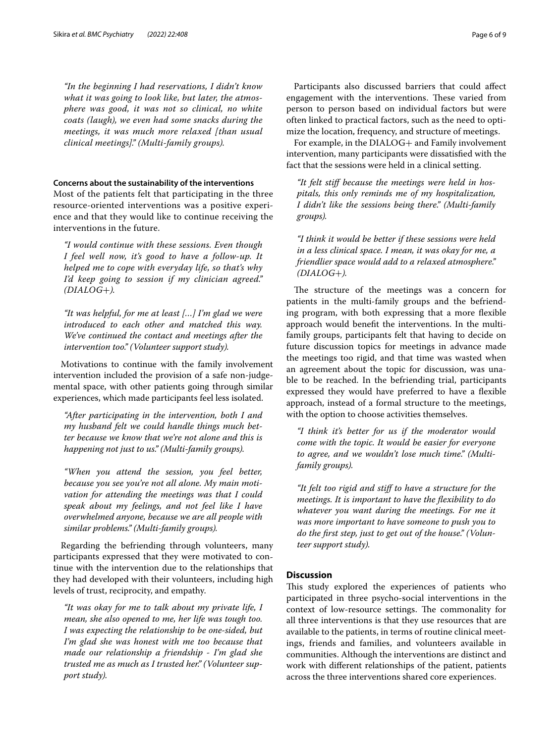*"In the beginning I had reservations, I didn't know what it was going to look like, but later, the atmosphere was good, it was not so clinical, no white coats (laugh), we even had some snacks during the meetings, it was much more relaxed [than usual clinical meetings]." (Multi-family groups).*

# **Concerns about the sustainability of the interventions**

Most of the patients felt that participating in the three resource-oriented interventions was a positive experience and that they would like to continue receiving the interventions in the future.

*"I would continue with these sessions. Even though I feel well now, it's good to have a follow-up. It helped me to cope with everyday life, so that's why I'd keep going to session if my clinician agreed." (DIALOG*+*).*

*"It was helpful, for me at least […] I'm glad we were introduced to each other and matched this way. We've continued the contact and meetings after the intervention too." (Volunteer support study).*

Motivations to continue with the family involvement intervention included the provision of a safe non-judgemental space, with other patients going through similar experiences, which made participants feel less isolated.

*"After participating in the intervention, both I and my husband felt we could handle things much better because we know that we're not alone and this is happening not just to us." (Multi-family groups).*

*"When you attend the session, you feel better, because you see you're not all alone. My main motivation for attending the meetings was that I could speak about my feelings, and not feel like I have overwhelmed anyone, because we are all people with similar problems." (Multi-family groups).*

Regarding the befriending through volunteers, many participants expressed that they were motivated to continue with the intervention due to the relationships that they had developed with their volunteers, including high levels of trust, reciprocity, and empathy.

*"It was okay for me to talk about my private life, I mean, she also opened to me, her life was tough too. I was expecting the relationship to be one-sided, but I'm glad she was honest with me too because that made our relationship a friendship - I'm glad she trusted me as much as I trusted her." (Volunteer support study).*

Participants also discussed barriers that could afect engagement with the interventions. These varied from person to person based on individual factors but were often linked to practical factors, such as the need to optimize the location, frequency, and structure of meetings.

For example, in the DIALOG+ and Family involvement intervention, many participants were dissatisfed with the fact that the sessions were held in a clinical setting.

*"It felt stif because the meetings were held in hospitals, this only reminds me of my hospitalization, I didn't like the sessions being there." (Multi-family groups).*

*"I think it would be better if these sessions were held in a less clinical space. I mean, it was okay for me, a friendlier space would add to a relaxed atmosphere." (DIALOG*+*).*

The structure of the meetings was a concern for patients in the multi-family groups and the befriending program, with both expressing that a more fexible approach would beneft the interventions. In the multifamily groups, participants felt that having to decide on future discussion topics for meetings in advance made the meetings too rigid, and that time was wasted when an agreement about the topic for discussion, was unable to be reached. In the befriending trial, participants expressed they would have preferred to have a fexible approach, instead of a formal structure to the meetings, with the option to choose activities themselves.

*"I think it's better for us if the moderator would come with the topic. It would be easier for everyone to agree, and we wouldn't lose much time." (Multifamily groups).*

*"It felt too rigid and stif to have a structure for the meetings. It is important to have the fexibility to do whatever you want during the meetings. For me it was more important to have someone to push you to do the frst step, just to get out of the house." (Volunteer support study).*

# **Discussion**

This study explored the experiences of patients who participated in three psycho-social interventions in the context of low-resource settings. The commonality for all three interventions is that they use resources that are available to the patients, in terms of routine clinical meetings, friends and families, and volunteers available in communities. Although the interventions are distinct and work with diferent relationships of the patient, patients across the three interventions shared core experiences.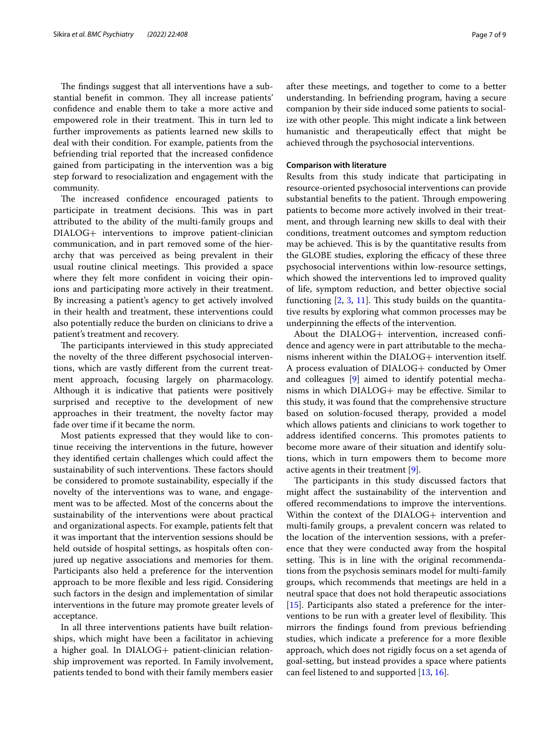The findings suggest that all interventions have a substantial benefit in common. They all increase patients' confdence and enable them to take a more active and empowered role in their treatment. This in turn led to further improvements as patients learned new skills to deal with their condition. For example, patients from the befriending trial reported that the increased confdence gained from participating in the intervention was a big step forward to resocialization and engagement with the community.

The increased confidence encouraged patients to participate in treatment decisions. This was in part attributed to the ability of the multi-family groups and DIALOG+ interventions to improve patient-clinician communication, and in part removed some of the hierarchy that was perceived as being prevalent in their usual routine clinical meetings. This provided a space where they felt more confident in voicing their opinions and participating more actively in their treatment. By increasing a patient's agency to get actively involved in their health and treatment, these interventions could also potentially reduce the burden on clinicians to drive a patient's treatment and recovery.

The participants interviewed in this study appreciated the novelty of the three diferent psychosocial interventions, which are vastly diferent from the current treatment approach, focusing largely on pharmacology. Although it is indicative that patients were positively surprised and receptive to the development of new approaches in their treatment, the novelty factor may fade over time if it became the norm.

Most patients expressed that they would like to continue receiving the interventions in the future, however they identifed certain challenges which could afect the sustainability of such interventions. These factors should be considered to promote sustainability, especially if the novelty of the interventions was to wane, and engagement was to be afected. Most of the concerns about the sustainability of the interventions were about practical and organizational aspects. For example, patients felt that it was important that the intervention sessions should be held outside of hospital settings, as hospitals often conjured up negative associations and memories for them. Participants also held a preference for the intervention approach to be more fexible and less rigid. Considering such factors in the design and implementation of similar interventions in the future may promote greater levels of acceptance.

In all three interventions patients have built relationships, which might have been a facilitator in achieving a higher goal. In DIALOG+ patient-clinician relationship improvement was reported. In Family involvement, patients tended to bond with their family members easier after these meetings, and together to come to a better understanding. In befriending program, having a secure companion by their side induced some patients to socialize with other people. This might indicate a link between humanistic and therapeutically effect that might be achieved through the psychosocial interventions.

## **Comparison with literature**

Results from this study indicate that participating in resource-oriented psychosocial interventions can provide substantial benefits to the patient. Through empowering patients to become more actively involved in their treatment, and through learning new skills to deal with their conditions, treatment outcomes and symptom reduction may be achieved. This is by the quantitative results from the GLOBE studies, exploring the efficacy of these three psychosocial interventions within low-resource settings, which showed the interventions led to improved quality of life, symptom reduction, and better objective social functioning  $[2, 3, 11]$  $[2, 3, 11]$  $[2, 3, 11]$  $[2, 3, 11]$  $[2, 3, 11]$  $[2, 3, 11]$ . This study builds on the quantitative results by exploring what common processes may be underpinning the efects of the intervention.

About the DIALOG+ intervention, increased confdence and agency were in part attributable to the mechanisms inherent within the DIALOG+ intervention itself. A process evaluation of DIALOG+ conducted by Omer and colleagues [[9\]](#page-8-5) aimed to identify potential mechanisms in which DIALOG+ may be efective. Similar to this study, it was found that the comprehensive structure based on solution-focused therapy, provided a model which allows patients and clinicians to work together to address identified concerns. This promotes patients to become more aware of their situation and identify solutions, which in turn empowers them to become more active agents in their treatment [\[9](#page-8-5)].

The participants in this study discussed factors that might afect the sustainability of the intervention and offered recommendations to improve the interventions. Within the context of the DIALOG+ intervention and multi-family groups, a prevalent concern was related to the location of the intervention sessions, with a preference that they were conducted away from the hospital setting. This is in line with the original recommendations from the psychosis seminars model for multi-family groups, which recommends that meetings are held in a neutral space that does not hold therapeutic associations [[15\]](#page-8-13). Participants also stated a preference for the interventions to be run with a greater level of flexibility. This mirrors the fndings found from previous befriending studies, which indicate a preference for a more fexible approach, which does not rigidly focus on a set agenda of goal-setting, but instead provides a space where patients can feel listened to and supported [[13,](#page-8-11) [16](#page-8-14)].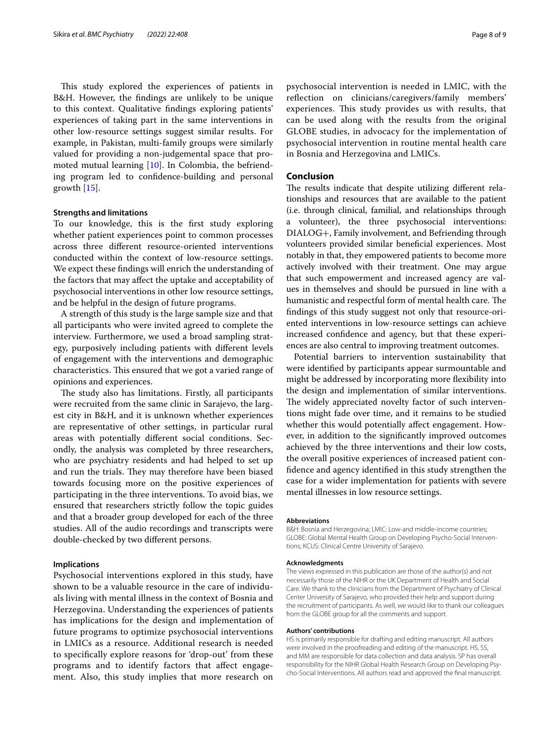This study explored the experiences of patients in B&H. However, the fndings are unlikely to be unique to this context. Qualitative fndings exploring patients' experiences of taking part in the same interventions in other low-resource settings suggest similar results. For example, in Pakistan, multi-family groups were similarly valued for providing a non-judgemental space that promoted mutual learning [\[10](#page-8-8)]. In Colombia, the befriending program led to confdence-building and personal growth [[15](#page-8-13)].

### **Strengths and limitations**

To our knowledge, this is the frst study exploring whether patient experiences point to common processes across three diferent resource-oriented interventions conducted within the context of low-resource settings. We expect these fndings will enrich the understanding of the factors that may afect the uptake and acceptability of psychosocial interventions in other low resource settings, and be helpful in the design of future programs.

A strength of this study is the large sample size and that all participants who were invited agreed to complete the interview. Furthermore, we used a broad sampling strategy, purposively including patients with diferent levels of engagement with the interventions and demographic characteristics. This ensured that we got a varied range of opinions and experiences.

The study also has limitations. Firstly, all participants were recruited from the same clinic in Sarajevo, the largest city in B&H, and it is unknown whether experiences are representative of other settings, in particular rural areas with potentially diferent social conditions. Secondly, the analysis was completed by three researchers, who are psychiatry residents and had helped to set up and run the trials. They may therefore have been biased towards focusing more on the positive experiences of participating in the three interventions. To avoid bias, we ensured that researchers strictly follow the topic guides and that a broader group developed for each of the three studies. All of the audio recordings and transcripts were double-checked by two diferent persons.

#### **Implications**

Psychosocial interventions explored in this study, have shown to be a valuable resource in the care of individuals living with mental illness in the context of Bosnia and Herzegovina. Understanding the experiences of patients has implications for the design and implementation of future programs to optimize psychosocial interventions in LMICs as a resource. Additional research is needed to specifcally explore reasons for 'drop-out' from these programs and to identify factors that afect engagement. Also, this study implies that more research on psychosocial intervention is needed in LMIC, with the refection on clinicians/caregivers/family members' experiences. This study provides us with results, that can be used along with the results from the original GLOBE studies, in advocacy for the implementation of psychosocial intervention in routine mental health care in Bosnia and Herzegovina and LMICs.

## **Conclusion**

The results indicate that despite utilizing different relationships and resources that are available to the patient (i.e. through clinical, familial, and relationships through a volunteer), the three psychosocial interventions: DIALOG+, Family involvement, and Befriending through volunteers provided similar benefcial experiences. Most notably in that, they empowered patients to become more actively involved with their treatment. One may argue that such empowerment and increased agency are values in themselves and should be pursued in line with a humanistic and respectful form of mental health care. The fndings of this study suggest not only that resource-oriented interventions in low-resource settings can achieve increased confdence and agency, but that these experiences are also central to improving treatment outcomes.

Potential barriers to intervention sustainability that were identifed by participants appear surmountable and might be addressed by incorporating more fexibility into the design and implementation of similar interventions. The widely appreciated novelty factor of such interventions might fade over time, and it remains to be studied whether this would potentially afect engagement. However, in addition to the signifcantly improved outcomes achieved by the three interventions and their low costs, the overall positive experiences of increased patient confdence and agency identifed in this study strengthen the case for a wider implementation for patients with severe mental illnesses in low resource settings.

#### **Abbreviations**

B&H: Bosnia and Herzegovina; LMIC: Low-and middle-income countries; GLOBE: Global Mental Health Group on Developing Psycho-Social Interventions; KCUS: Clinical Centre University of Sarajevo.

#### **Acknowledgments**

The views expressed in this publication are those of the author(s) and not necessarily those of the NIHR or the UK Department of Health and Social Care. We thank to the clinicians from the Department of Psychiatry of Clinical Center University of Sarajevo, who provided their help and support during the recruitment of participants. As well, we would like to thank our colleagues from the GLOBE group for all the comments and support.

#### **Authors' contributions**

HS is primarily responsible for drafting and editing manuscript. All authors were involved in the proofreading and editing of the manuscript. HS, SS, and MM are responsible for data collection and data analysis. SP has overall responsibility for the NIHR Global Health Research Group on Developing Psycho-Social Interventions. All authors read and approved the fnal manuscript.